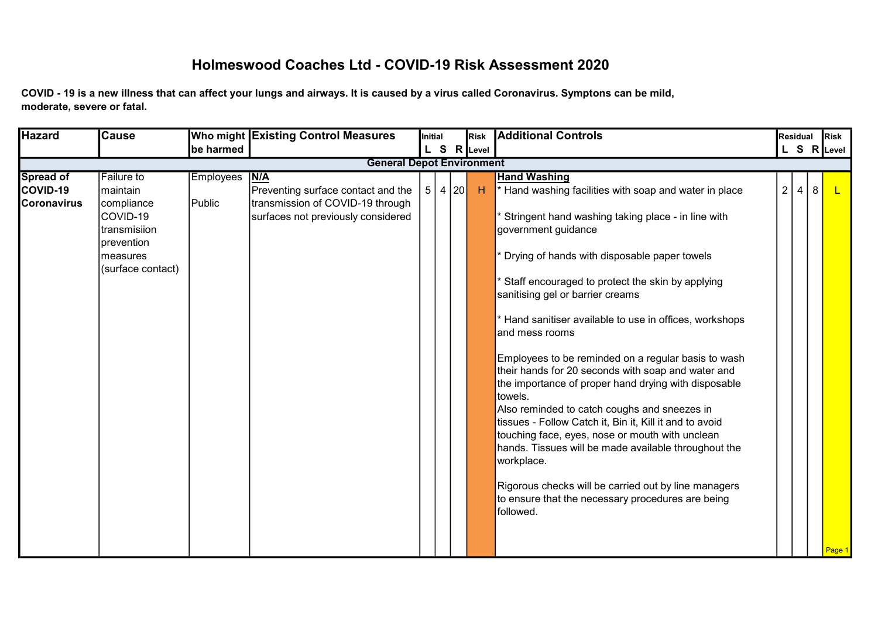## Holmeswood Coaches Ltd - COVID-19 Risk Assessment 2020

COVID - 19 is a new illness that can affect your lungs and airways. It is caused by a virus called Coronavirus. Symptons can be mild, moderate, severe or fatal.

| <b>Hazard</b>                                      | <b>Cause</b>                                                                          |                            | Who might Existing Control Measures                                                                                 | Initial |      | Risk        | <b>Additional Controls</b>                                                                                                                                                                                                                                                                                                                                                                                                                                               |                | Residual       |                | <b>Risk</b> |
|----------------------------------------------------|---------------------------------------------------------------------------------------|----------------------------|---------------------------------------------------------------------------------------------------------------------|---------|------|-------------|--------------------------------------------------------------------------------------------------------------------------------------------------------------------------------------------------------------------------------------------------------------------------------------------------------------------------------------------------------------------------------------------------------------------------------------------------------------------------|----------------|----------------|----------------|-------------|
|                                                    |                                                                                       | be harmed                  |                                                                                                                     |         |      | L S R Level |                                                                                                                                                                                                                                                                                                                                                                                                                                                                          |                |                |                | L S R Level |
|                                                    |                                                                                       |                            | <b>General Depot Environment</b>                                                                                    |         |      |             |                                                                                                                                                                                                                                                                                                                                                                                                                                                                          |                |                |                |             |
| <b>Spread of</b><br>COVID-19<br><b>Coronavirus</b> | <b>Failure to</b><br>maintain<br>compliance<br>COVID-19<br>transmisiion<br>prevention | <b>Employees</b><br>Public | N/A<br>Preventing surface contact and the<br>transmission of COVID-19 through<br>surfaces not previously considered | 5       | 4 20 | H           | <b>Hand Washing</b><br>* Hand washing facilities with soap and water in place<br>Stringent hand washing taking place - in line with<br>government guidance                                                                                                                                                                                                                                                                                                               | $\overline{2}$ | $\overline{4}$ | 8 <sup>1</sup> |             |
|                                                    | measures<br>(surface contact)                                                         |                            |                                                                                                                     |         |      |             | * Drying of hands with disposable paper towels<br>* Staff encouraged to protect the skin by applying<br>sanitising gel or barrier creams<br>* Hand sanitiser available to use in offices, workshops<br>and mess rooms                                                                                                                                                                                                                                                    |                |                |                |             |
|                                                    |                                                                                       |                            |                                                                                                                     |         |      |             | Employees to be reminded on a regular basis to wash<br>their hands for 20 seconds with soap and water and<br>the importance of proper hand drying with disposable<br>towels.<br>Also reminded to catch coughs and sneezes in<br>tissues - Follow Catch it, Bin it, Kill it and to avoid<br>touching face, eyes, nose or mouth with unclean<br>hands. Tissues will be made available throughout the<br>workplace.<br>Rigorous checks will be carried out by line managers |                |                |                |             |
|                                                    |                                                                                       |                            |                                                                                                                     |         |      |             | to ensure that the necessary procedures are being<br>followed.                                                                                                                                                                                                                                                                                                                                                                                                           |                |                |                | Page 1      |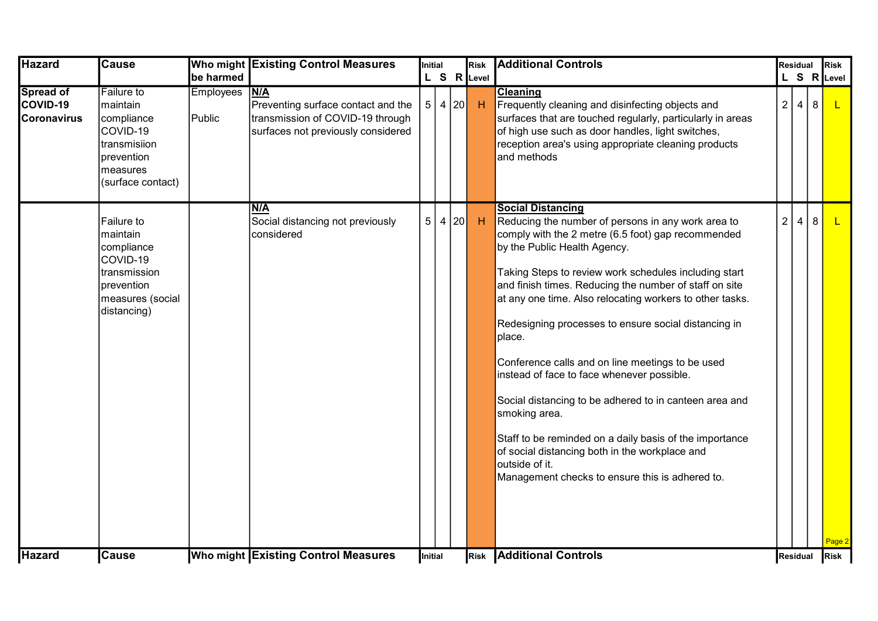| <b>Hazard</b>                                      | <b>Cause</b>                                                                                                           |                            | Who might Existing Control Measures                                                                                 | Initial |            | Risk         | <b>Additional Controls</b>                                                                                                                                                                                                                                                                                                                                                                                                                                                                                                                                                                                                                                                                                                                                                           |                | <b>Residual</b> |   | <b>Risk</b>  |
|----------------------------------------------------|------------------------------------------------------------------------------------------------------------------------|----------------------------|---------------------------------------------------------------------------------------------------------------------|---------|------------|--------------|--------------------------------------------------------------------------------------------------------------------------------------------------------------------------------------------------------------------------------------------------------------------------------------------------------------------------------------------------------------------------------------------------------------------------------------------------------------------------------------------------------------------------------------------------------------------------------------------------------------------------------------------------------------------------------------------------------------------------------------------------------------------------------------|----------------|-----------------|---|--------------|
|                                                    |                                                                                                                        | be harmed                  |                                                                                                                     |         |            | L S R Level  |                                                                                                                                                                                                                                                                                                                                                                                                                                                                                                                                                                                                                                                                                                                                                                                      |                |                 |   | L S R Level  |
| <b>Spread of</b><br>COVID-19<br><b>Coronavirus</b> | <b>Failure to</b><br>maintain<br>compliance<br>COVID-19<br>transmisiion<br>prevention<br>measures<br>(surface contact) | <b>Employees</b><br>Public | N/A<br>Preventing surface contact and the<br>transmission of COVID-19 through<br>surfaces not previously considered |         | 5   4   20 | $\mathsf{H}$ | <b>Cleaning</b><br>Frequently cleaning and disinfecting objects and<br>surfaces that are touched regularly, particularly in areas<br>of high use such as door handles, light switches,<br>reception area's using appropriate cleaning products<br>and methods                                                                                                                                                                                                                                                                                                                                                                                                                                                                                                                        | $\overline{2}$ | $\overline{4}$  | 8 | $\mathsf{L}$ |
|                                                    | Failure to<br>maintain<br>compliance<br>COVID-19<br>Itransmission<br>prevention<br>measures (social<br>distancing)     |                            | <b>N/A</b><br>Social distancing not previously<br>considered                                                        |         | 5 4 20     | $\mathsf{H}$ | <b>Social Distancing</b><br>Reducing the number of persons in any work area to<br>comply with the 2 metre (6.5 foot) gap recommended<br>by the Public Health Agency.<br>Taking Steps to review work schedules including start<br>and finish times. Reducing the number of staff on site<br>at any one time. Also relocating workers to other tasks.<br>Redesigning processes to ensure social distancing in<br>place.<br>Conference calls and on line meetings to be used<br>instead of face to face whenever possible.<br>Social distancing to be adhered to in canteen area and<br>smoking area.<br>Staff to be reminded on a daily basis of the importance<br>of social distancing both in the workplace and<br>outside of it.<br>Management checks to ensure this is adhered to. | $\overline{2}$ | 4               | 8 | Page 2       |
| <b>Hazard</b>                                      | <b>Cause</b>                                                                                                           |                            | <b>Who might Existing Control Measures</b>                                                                          | Initial |            |              | <b>Risk Additional Controls</b>                                                                                                                                                                                                                                                                                                                                                                                                                                                                                                                                                                                                                                                                                                                                                      | Residual       |                 |   | <b>Risk</b>  |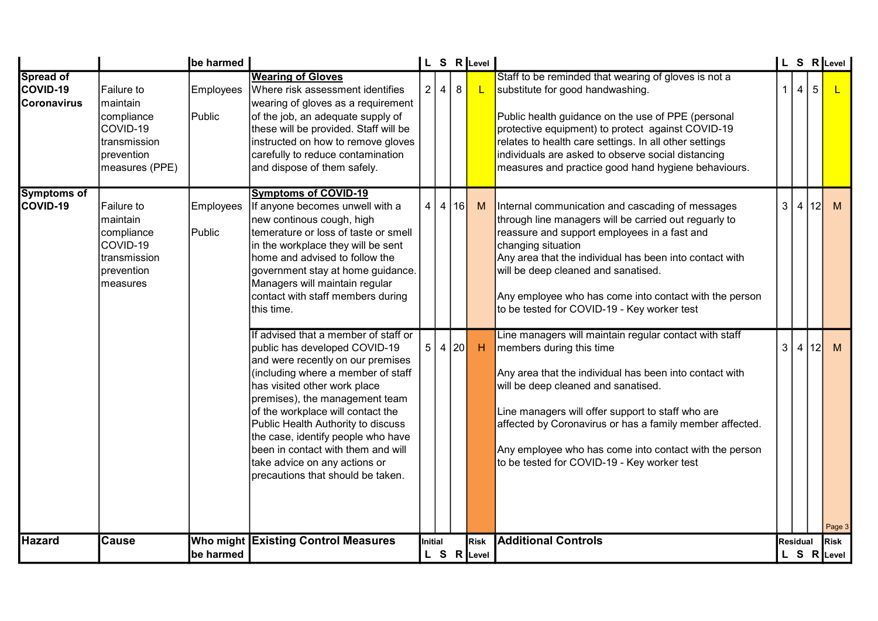|                                                    |                                                                                                    | be harmed                  |                                                                                                                                                                                                                                                                                                                                                                                                                                                 |                |                |         | L S R Level |                                                                                                                                                                                                                                                                                                                                                                                                                |                 |                |                 | L S R Level |
|----------------------------------------------------|----------------------------------------------------------------------------------------------------|----------------------------|-------------------------------------------------------------------------------------------------------------------------------------------------------------------------------------------------------------------------------------------------------------------------------------------------------------------------------------------------------------------------------------------------------------------------------------------------|----------------|----------------|---------|-------------|----------------------------------------------------------------------------------------------------------------------------------------------------------------------------------------------------------------------------------------------------------------------------------------------------------------------------------------------------------------------------------------------------------------|-----------------|----------------|-----------------|-------------|
| <b>Spread of</b><br>COVID-19<br><b>Coronavirus</b> | Failure to<br>maintain<br>compliance<br>COVID-19<br>transmission<br>prevention<br>measures (PPE)   | <b>Employees</b><br>Public | <b>Wearing of Gloves</b><br>Where risk assessment identifies<br>wearing of gloves as a requirement<br>of the job, an adequate supply of<br>these will be provided. Staff will be<br>instructed on how to remove gloves<br>carefully to reduce contamination<br>and dispose of them safely.                                                                                                                                                      | $\overline{2}$ | $\overline{4}$ | $\bf 8$ | L           | Staff to be reminded that wearing of gloves is not a<br>substitute for good handwashing.<br>Public health guidance on the use of PPE (personal<br>protective equipment) to protect against COVID-19<br>relates to health care settings. In all other settings<br>individuals are asked to observe social distancing<br>measures and practice good hand hygiene behaviours.                                     |                 | $\overline{4}$ | $5\phantom{.0}$ |             |
| <b>Symptoms of</b><br>COVID-19                     | Failure to<br>maintain<br>compliance<br>COVID-19<br>Itransmission<br><b>prevention</b><br>measures | Employees<br>Public        | <b>Symptoms of COVID-19</b><br>If anyone becomes unwell with a<br>new continous cough, high<br>temerature or loss of taste or smell<br>in the workplace they will be sent<br>home and advised to follow the<br>government stay at home guidance.<br>Managers will maintain regular<br>contact with staff members during<br>this time.                                                                                                           | 4              | 4              | 16      | M           | Internal communication and cascading of messages<br>through line managers will be carried out reguarly to<br>reassure and support employees in a fast and<br>changing situation<br>Any area that the individual has been into contact with<br>will be deep cleaned and sanatised.<br>Any employee who has come into contact with the person<br>to be tested for COVID-19 - Key worker test                     | 3               | $\vert$ 4      | 12I             | M           |
|                                                    |                                                                                                    |                            | If advised that a member of staff or<br>public has developed COVID-19<br>and were recently on our premises<br>(including where a member of staff<br>has visited other work place<br>premises), the management team<br>of the workplace will contact the<br>Public Health Authority to discuss<br>the case, identify people who have<br>been in contact with them and will<br>take advice on any actions or<br>precautions that should be taken. | 5 4            |                | 20      | H           | Line managers will maintain regular contact with staff<br>members during this time<br>Any area that the individual has been into contact with<br>will be deep cleaned and sanatised.<br>Line managers will offer support to staff who are<br>affected by Coronavirus or has a family member affected.<br>Any employee who has come into contact with the person<br>to be tested for COVID-19 - Key worker test | 3               | $\overline{4}$ | 12              | M<br>Page 3 |
| <b>Hazard</b>                                      | <b>Cause</b>                                                                                       | Who might                  | <b>Existing Control Measures</b>                                                                                                                                                                                                                                                                                                                                                                                                                | Initial        |                |         | Risk        | <b>Additional Controls</b>                                                                                                                                                                                                                                                                                                                                                                                     | <b>Residual</b> |                |                 | <b>Risk</b> |
|                                                    |                                                                                                    | be harmed                  |                                                                                                                                                                                                                                                                                                                                                                                                                                                 |                |                |         | L S R Level |                                                                                                                                                                                                                                                                                                                                                                                                                |                 |                |                 | L S R Level |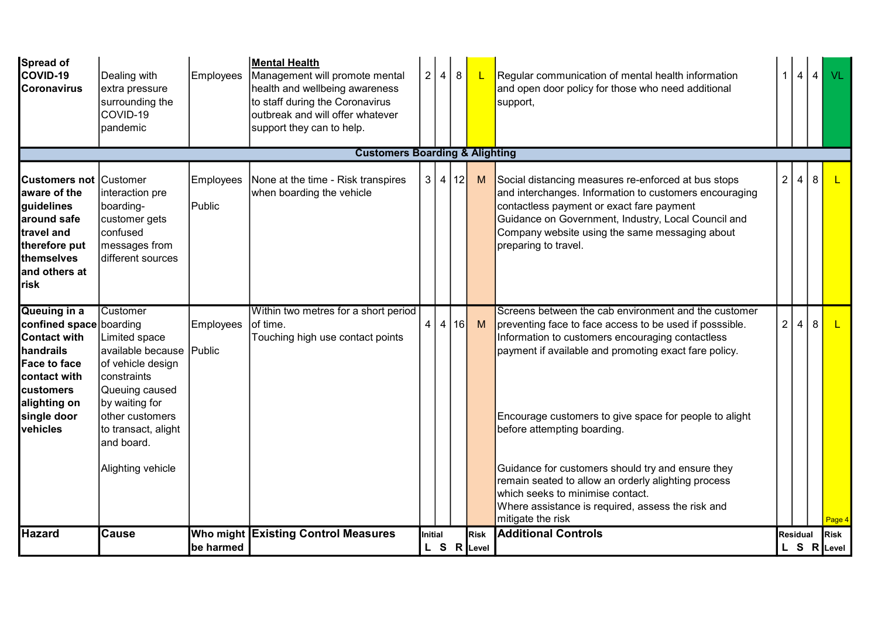| Spread of<br>COVID-19<br><b>Coronavirus</b>                                                                                                                                       | Dealing with<br>extra pressure<br>surrounding the<br>COVID-19<br>pandemic                                                                                                                                  | Employees                  | Mental Health<br>Management will promote mental<br>health and wellbeing awareness<br>to staff during the Coronavirus<br>outbreak and will offer whatever<br>support they can to help. |         | 2 4 | 8      | <u> </u>                       | Regular communication of mental health information<br>and open door policy for those who need additional<br>support,                                                                                                                                                                                                                                                                                                                                                                                                                            |                | 1 4 4          |   | VL                         |
|-----------------------------------------------------------------------------------------------------------------------------------------------------------------------------------|------------------------------------------------------------------------------------------------------------------------------------------------------------------------------------------------------------|----------------------------|---------------------------------------------------------------------------------------------------------------------------------------------------------------------------------------|---------|-----|--------|--------------------------------|-------------------------------------------------------------------------------------------------------------------------------------------------------------------------------------------------------------------------------------------------------------------------------------------------------------------------------------------------------------------------------------------------------------------------------------------------------------------------------------------------------------------------------------------------|----------------|----------------|---|----------------------------|
|                                                                                                                                                                                   |                                                                                                                                                                                                            |                            | <b>Customers Boarding &amp; Alighting</b>                                                                                                                                             |         |     |        |                                |                                                                                                                                                                                                                                                                                                                                                                                                                                                                                                                                                 |                |                |   |                            |
| <b>Customers not Customer</b><br>aware of the<br>guidelines<br>around safe<br>travel and<br>therefore put<br>themselves<br>and others at<br>risk                                  | interaction pre<br>boarding-<br>customer gets<br>confused<br>messages from<br>different sources                                                                                                            | <b>Employees</b><br>Public | None at the time - Risk transpires<br>when boarding the vehicle                                                                                                                       |         |     | 3 4 12 | M                              | Social distancing measures re-enforced at bus stops<br>and interchanges. Information to customers encouraging<br>contactless payment or exact fare payment<br>Guidance on Government, Industry, Local Council and<br>Company website using the same messaging about<br>preparing to travel.                                                                                                                                                                                                                                                     | 2 <sup>1</sup> | $\overline{4}$ | 8 | L.                         |
| Queuing in a<br>confined space boarding<br><b>Contact with</b><br>handrails<br><b>Face to face</b><br>contact with<br><b>customers</b><br>alighting on<br>single door<br>vehicles | Customer<br>Limited space<br>available because Public<br>of vehicle design<br>constraints<br>Queuing caused<br>by waiting for<br>other customers<br>to transact, alight<br>and board.<br>Alighting vehicle | <b>Employees</b>           | Within two metres for a short period<br>of time.<br>Touching high use contact points                                                                                                  | 4       | 4   | 16     | M                              | Screens between the cab environment and the customer<br>preventing face to face access to be used if posssible.<br>Information to customers encouraging contactless<br>payment if available and promoting exact fare policy.<br>Encourage customers to give space for people to alight<br>before attempting boarding.<br>Guidance for customers should try and ensure they<br>remain seated to allow an orderly alighting process<br>which seeks to minimise contact.<br>Where assistance is required, assess the risk and<br>mitigate the risk | 2              | $\overline{4}$ | 8 | $\mathbf{L}$<br>Page 4     |
| <b>Hazard</b>                                                                                                                                                                     | <b>Cause</b>                                                                                                                                                                                               | be harmed                  | Who might Existing Control Measures                                                                                                                                                   | Initial |     |        | <b>I</b> Risk<br>$L S R$ Level | <b>Additional Controls</b>                                                                                                                                                                                                                                                                                                                                                                                                                                                                                                                      |                | Residual       |   | <b>Risk</b><br>L S R Level |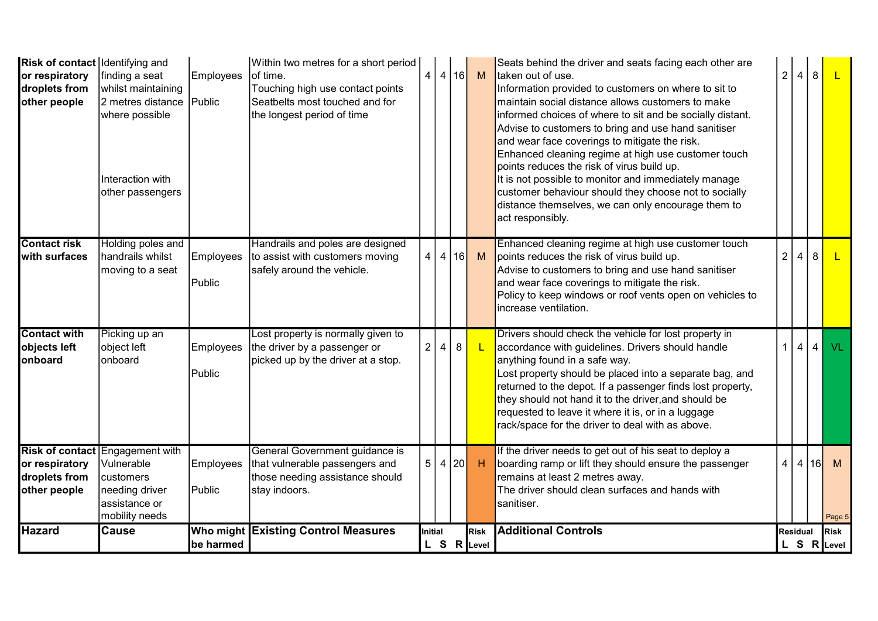| <b>Risk of contact Identifying and</b> |                                        |                  | Within two metres for a short period |                |      |        |             | Seats behind the driver and seats facing each other are    |                |                |                |              |
|----------------------------------------|----------------------------------------|------------------|--------------------------------------|----------------|------|--------|-------------|------------------------------------------------------------|----------------|----------------|----------------|--------------|
| or respiratory                         | finding a seat                         | <b>Employees</b> | of time.                             | 4              |      | 4 16   | M           | Itaken out of use.                                         | $\overline{2}$ | 4              | 8              | $\mathsf{L}$ |
| droplets from                          | whilst maintaining                     |                  | Touching high use contact points     |                |      |        |             | Information provided to customers on where to sit to       |                |                |                |              |
| other people                           | 2 metres distance Public               |                  | Seatbelts most touched and for       |                |      |        |             | maintain social distance allows customers to make          |                |                |                |              |
|                                        | where possible                         |                  | the longest period of time           |                |      |        |             | informed choices of where to sit and be socially distant.  |                |                |                |              |
|                                        |                                        |                  |                                      |                |      |        |             | Advise to customers to bring and use hand sanitiser        |                |                |                |              |
|                                        |                                        |                  |                                      |                |      |        |             | and wear face coverings to mitigate the risk.              |                |                |                |              |
|                                        |                                        |                  |                                      |                |      |        |             | Enhanced cleaning regime at high use customer touch        |                |                |                |              |
|                                        |                                        |                  |                                      |                |      |        |             | points reduces the risk of virus build up.                 |                |                |                |              |
|                                        | Interaction with                       |                  |                                      |                |      |        |             | It is not possible to monitor and immediately manage       |                |                |                |              |
|                                        | other passengers                       |                  |                                      |                |      |        |             | customer behaviour should they choose not to socially      |                |                |                |              |
|                                        |                                        |                  |                                      |                |      |        |             | distance themselves, we can only encourage them to         |                |                |                |              |
|                                        |                                        |                  |                                      |                |      |        |             | act responsibly.                                           |                |                |                |              |
| <b>Contact risk</b>                    | Holding poles and                      |                  | Handrails and poles are designed     |                |      |        |             | Enhanced cleaning regime at high use customer touch        |                |                |                |              |
| Iwith surfaces                         | handrails whilst                       | Employees        | to assist with customers moving      | 4              | 4 16 |        | M           | points reduces the risk of virus build up.                 | $\overline{2}$ |                | 8              |              |
|                                        | moving to a seat                       |                  | safely around the vehicle.           |                |      |        |             | Advise to customers to bring and use hand sanitiser        |                |                |                |              |
|                                        |                                        | Public           |                                      |                |      |        |             | and wear face coverings to mitigate the risk.              |                |                |                |              |
|                                        |                                        |                  |                                      |                |      |        |             | Policy to keep windows or roof vents open on vehicles to   |                |                |                |              |
|                                        |                                        |                  |                                      |                |      |        |             | Increase ventilation.                                      |                |                |                |              |
| <b>Contact with</b>                    | Picking up an                          |                  | Lost property is normally given to   |                |      |        |             | Drivers should check the vehicle for lost property in      |                |                |                |              |
| objects left                           | object left                            | Employees        | the driver by a passenger or         | 2 <sup>1</sup> | 4    | 8      |             | accordance with guidelines. Drivers should handle          | $\mathbf{1}$   | 4              | 4 <sup>1</sup> | $V_L$        |
| <b>lonboard</b>                        | onboard                                |                  | picked up by the driver at a stop.   |                |      |        |             | anything found in a safe way.                              |                |                |                |              |
|                                        |                                        | Public           |                                      |                |      |        |             | Lost property should be placed into a separate bag, and    |                |                |                |              |
|                                        |                                        |                  |                                      |                |      |        |             | returned to the depot. If a passenger finds lost property, |                |                |                |              |
|                                        |                                        |                  |                                      |                |      |        |             | they should not hand it to the driver, and should be       |                |                |                |              |
|                                        |                                        |                  |                                      |                |      |        |             | requested to leave it where it is, or in a luggage         |                |                |                |              |
|                                        |                                        |                  |                                      |                |      |        |             | rack/space for the driver to deal with as above.           |                |                |                |              |
|                                        | <b>Risk of contact Engagement with</b> |                  | General Government guidance is       |                |      |        |             | If the driver needs to get out of his seat to deploy a     |                |                |                |              |
| or respiratory                         | Vulnerable                             | Employees        | that vulnerable passengers and       |                |      | 5 4 20 | H           | boarding ramp or lift they should ensure the passenger     | 4              | $\overline{4}$ | l 16l          | M            |
| droplets from                          | customers                              |                  | those needing assistance should      |                |      |        |             | remains at least 2 metres away.                            |                |                |                |              |
| other people                           | needing driver                         | Public           | stay indoors.                        |                |      |        |             | The driver should clean surfaces and hands with            |                |                |                |              |
|                                        | assistance or                          |                  |                                      |                |      |        |             | sanitiser.                                                 |                |                |                |              |
|                                        | mobility needs                         |                  |                                      |                |      |        |             |                                                            |                |                |                | Page 5       |
| Hazard                                 | <b>Cause</b>                           |                  | Who might Existing Control Measures  | Initial        |      |        | <b>Risk</b> | <b>Additional Controls</b>                                 |                | Residual       |                | <b>Risk</b>  |
|                                        |                                        | be harmed        |                                      |                |      |        | L S R Level |                                                            |                |                |                | L S R Level  |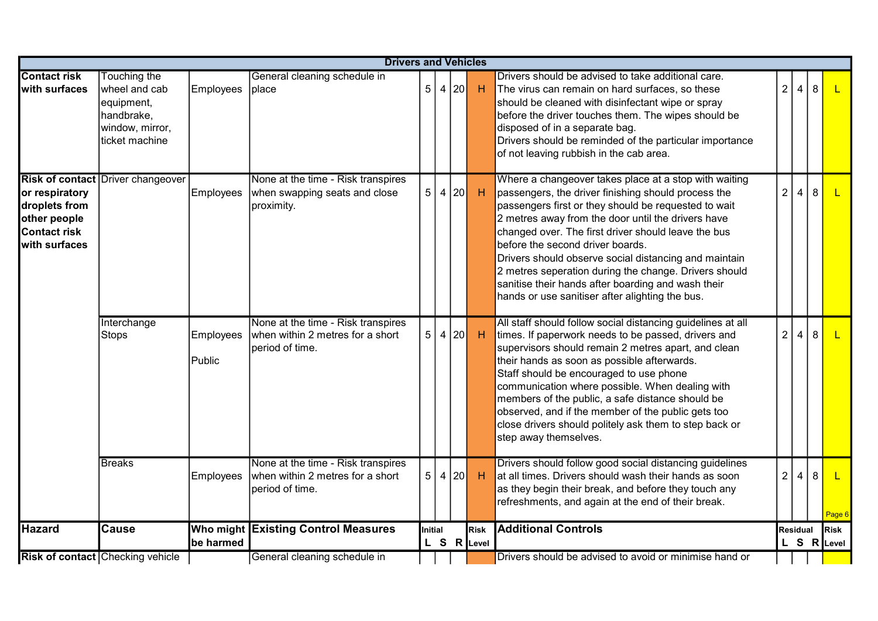|                                                                                         | <b>Drivers and Vehicles</b>                                                                           |                            |                                                                                           |                |      |  |                            |                                                                                                                                                                                                                                                                                                                                                                                                                                                                                                                                                  |                 |   |   |                            |
|-----------------------------------------------------------------------------------------|-------------------------------------------------------------------------------------------------------|----------------------------|-------------------------------------------------------------------------------------------|----------------|------|--|----------------------------|--------------------------------------------------------------------------------------------------------------------------------------------------------------------------------------------------------------------------------------------------------------------------------------------------------------------------------------------------------------------------------------------------------------------------------------------------------------------------------------------------------------------------------------------------|-----------------|---|---|----------------------------|
| <b>Contact risk</b><br>with surfaces                                                    | <b>Touching the</b><br>wheel and cab<br>equipment,<br>handbrake,<br>window, mirror,<br>ticket machine | Employees                  | General cleaning schedule in<br>place                                                     | 5 <sup>1</sup> | 4 20 |  | H                          | Drivers should be advised to take additional care.<br>The virus can remain on hard surfaces, so these<br>should be cleaned with disinfectant wipe or spray<br>before the driver touches them. The wipes should be<br>disposed of in a separate bag.<br>Drivers should be reminded of the particular importance<br>of not leaving rubbish in the cab area.                                                                                                                                                                                        | $\overline{2}$  | 4 | 8 |                            |
| or respiratory<br>droplets from<br>other people<br><b>Contact risk</b><br>with surfaces | <b>Risk of contact Driver changeover</b>                                                              | Employees                  | None at the time - Risk transpires<br>when swapping seats and close<br>proximity.         | 5              | 4 20 |  | H                          | Where a changeover takes place at a stop with waiting<br>passengers, the driver finishing should process the<br>passengers first or they should be requested to wait<br>2 metres away from the door until the drivers have<br>changed over. The first driver should leave the bus<br>before the second driver boards.<br>Drivers should observe social distancing and maintain<br>2 metres seperation during the change. Drivers should<br>sanitise their hands after boarding and wash their<br>hands or use sanitiser after alighting the bus. | $\overline{2}$  | 4 | 8 |                            |
|                                                                                         | Interchange<br><b>Stops</b>                                                                           | <b>Employees</b><br>Public | None at the time - Risk transpires<br>when within 2 metres for a short<br>period of time. | 5 4 20         |      |  | H                          | All staff should follow social distancing guidelines at all<br>times. If paperwork needs to be passed, drivers and<br>supervisors should remain 2 metres apart, and clean<br>their hands as soon as possible afterwards.<br>Staff should be encouraged to use phone<br>communication where possible. When dealing with<br>members of the public, a safe distance should be<br>observed, and if the member of the public gets too<br>close drivers should politely ask them to step back or<br>step away themselves.                              | $\overline{2}$  | 4 | 8 |                            |
|                                                                                         | <b>Breaks</b>                                                                                         | <b>Employees</b>           | None at the time - Risk transpires<br>when within 2 metres for a short<br>period of time. | 5 4 20         |      |  | H                          | Drivers should follow good social distancing guidelines<br>at all times. Drivers should wash their hands as soon<br>as they begin their break, and before they touch any<br>refreshments, and again at the end of their break.                                                                                                                                                                                                                                                                                                                   | 2 <sup>1</sup>  | 4 | 8 | L.<br>Page 6               |
| <b>Hazard</b>                                                                           | <b>Cause</b>                                                                                          | be harmed                  | <b>Who might Existing Control Measures</b>                                                | <b>Initial</b> |      |  | <b>Risk</b><br>L S R Level | <b>Additional Controls</b>                                                                                                                                                                                                                                                                                                                                                                                                                                                                                                                       | <b>Residual</b> |   |   | <b>Risk</b><br>L S R Level |
|                                                                                         | Risk of contact Checking vehicle                                                                      |                            | General cleaning schedule in                                                              |                |      |  |                            | Drivers should be advised to avoid or minimise hand or                                                                                                                                                                                                                                                                                                                                                                                                                                                                                           |                 |   |   |                            |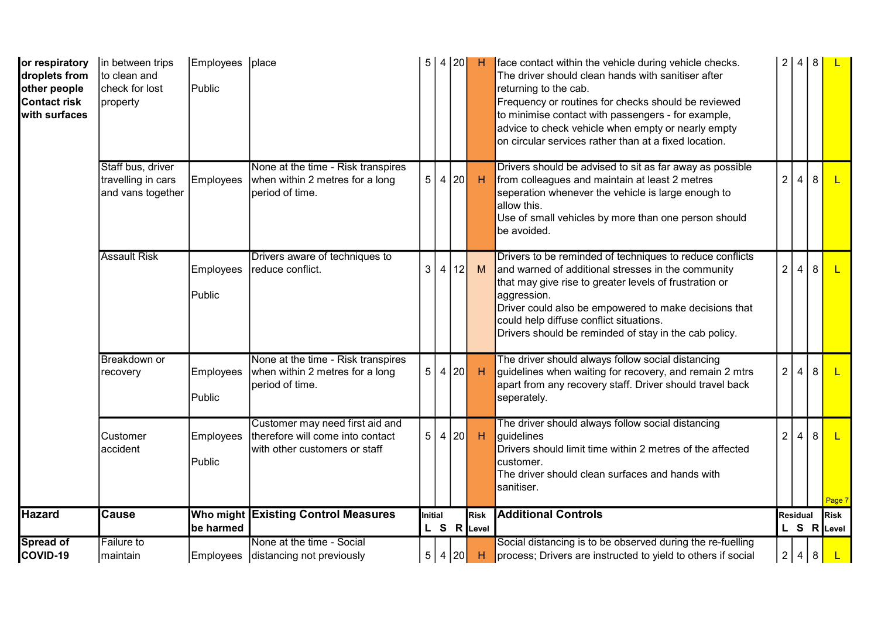| or respiratory<br>droplets from<br>other people<br><b>Contact risk</b><br>with surfaces | in between trips<br>to clean and<br>Icheck for lost<br>property | Employees<br>Public        | place                                                                                                | 5              | 4 20           |    | H                          | face contact within the vehicle during vehicle checks.<br>The driver should clean hands with sanitiser after<br>returning to the cab.<br>Frequency or routines for checks should be reviewed<br>to minimise contact with passengers - for example,<br>advice to check vehicle when empty or nearly empty<br>on circular services rather than at a fixed location. | $\overline{2}$ |                 | 4 8          |                            |
|-----------------------------------------------------------------------------------------|-----------------------------------------------------------------|----------------------------|------------------------------------------------------------------------------------------------------|----------------|----------------|----|----------------------------|-------------------------------------------------------------------------------------------------------------------------------------------------------------------------------------------------------------------------------------------------------------------------------------------------------------------------------------------------------------------|----------------|-----------------|--------------|----------------------------|
|                                                                                         | Staff bus, driver<br>travelling in cars<br>and vans together    | Employees                  | None at the time - Risk transpires<br>when within 2 metres for a long<br>period of time.             | 5 <sup>1</sup> | 4 20           |    | <b>H</b>                   | Drivers should be advised to sit as far away as possible<br>from colleagues and maintain at least 2 metres<br>seperation whenever the vehicle is large enough to<br>allow this.<br>Use of small vehicles by more than one person should<br>be avoided.                                                                                                            | 2              | 4               | 8            |                            |
|                                                                                         | <b>Assault Risk</b>                                             | <b>Employees</b><br>Public | Drivers aware of techniques to<br>reduce conflict.                                                   | 3              | $\overline{4}$ | 12 | M                          | Drivers to be reminded of techniques to reduce conflicts<br>and warned of additional stresses in the community<br>that may give rise to greater levels of frustration or<br>aggression.<br>Driver could also be empowered to make decisions that<br>could help diffuse conflict situations.<br>Drivers should be reminded of stay in the cab policy.              | $\overline{2}$ | $\overline{4}$  | 8            |                            |
|                                                                                         | <b>Breakdown</b> or<br>recovery                                 | <b>Employees</b><br>Public | None at the time - Risk transpires<br>when within 2 metres for a long<br>period of time.             |                | 5   4   20     |    | H                          | The driver should always follow social distancing<br>guidelines when waiting for recovery, and remain 2 mtrs<br>apart from any recovery staff. Driver should travel back<br>seperately.                                                                                                                                                                           | 2 <sup>1</sup> | $\overline{4}$  | 8            |                            |
|                                                                                         | Customer<br>accident                                            | Employees<br>Public        | Customer may need first aid and<br>therefore will come into contact<br>with other customers or staff | 5              | 4 20           |    | H                          | The driver should always follow social distancing<br>guidelines<br>Drivers should limit time within 2 metres of the affected<br>customer.<br>The driver should clean surfaces and hands with<br>sanitiser.                                                                                                                                                        | $\overline{2}$ | $\overline{4}$  | $\mathsf{R}$ | Page 7                     |
| <b>Hazard</b>                                                                           | <b>Cause</b>                                                    | be harmed                  | Who might Existing Control Measures                                                                  | Initial        |                |    | <b>Risk</b><br>L S R Level | <b>Additional Controls</b>                                                                                                                                                                                                                                                                                                                                        |                | <b>Residual</b> |              | <b>Risk</b><br>L S R Level |
| <b>Spread of</b><br>COVID-19                                                            | <b>Failure to</b><br>maintain                                   | Employees                  | None at the time - Social<br>distancing not previously                                               |                | 5 4 20         |    | H                          | Social distancing is to be observed during the re-fuelling<br>process; Drivers are instructed to yield to others if social                                                                                                                                                                                                                                        |                |                 | 2 4 8        |                            |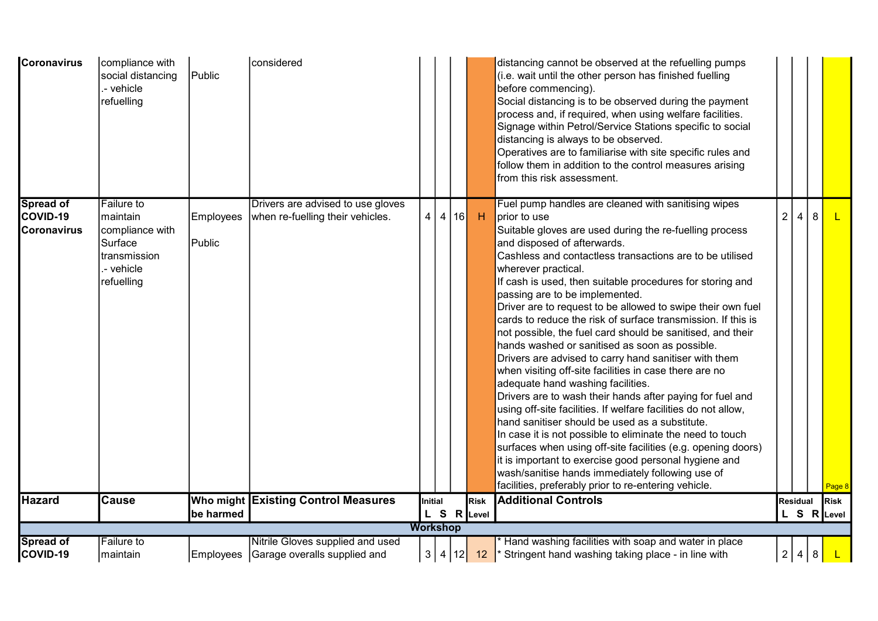| <b>Coronavirus</b> | compliance with<br>social distancing<br>- vehicle<br>refuelling | Public           | considered                                 |                 |        |      |              | distancing cannot be observed at the refuelling pumps<br>(i.e. wait until the other person has finished fuelling<br>before commencing).<br>Social distancing is to be observed during the payment<br>process and, if required, when using welfare facilities.<br>Signage within Petrol/Service Stations specific to social<br>distancing is always to be observed.<br>Operatives are to familiarise with site specific rules and<br>follow them in addition to the control measures arising<br>from this risk assessment. |                |                |                |             |
|--------------------|-----------------------------------------------------------------|------------------|--------------------------------------------|-----------------|--------|------|--------------|---------------------------------------------------------------------------------------------------------------------------------------------------------------------------------------------------------------------------------------------------------------------------------------------------------------------------------------------------------------------------------------------------------------------------------------------------------------------------------------------------------------------------|----------------|----------------|----------------|-------------|
| <b>Spread of</b>   | <b>Failure to</b>                                               |                  | Drivers are advised to use gloves          |                 |        |      |              | Fuel pump handles are cleaned with sanitising wipes                                                                                                                                                                                                                                                                                                                                                                                                                                                                       |                |                |                |             |
| COVID-19           | Imaintain                                                       | <b>Employees</b> | when re-fuelling their vehicles.           | 4 <sup>1</sup>  |        | 4 16 | $\mathsf{H}$ | prior to use                                                                                                                                                                                                                                                                                                                                                                                                                                                                                                              | $\overline{2}$ | $\overline{4}$ | 8              |             |
| <b>Coronavirus</b> | compliance with                                                 |                  |                                            |                 |        |      |              | Suitable gloves are used during the re-fuelling process                                                                                                                                                                                                                                                                                                                                                                                                                                                                   |                |                |                |             |
|                    | Surface                                                         | Public           |                                            |                 |        |      |              | and disposed of afterwards.                                                                                                                                                                                                                                                                                                                                                                                                                                                                                               |                |                |                |             |
|                    | transmission                                                    |                  |                                            |                 |        |      |              | Cashless and contactless transactions are to be utilised                                                                                                                                                                                                                                                                                                                                                                                                                                                                  |                |                |                |             |
|                    | - vehicle<br>refuelling                                         |                  |                                            |                 |        |      |              | wherever practical.<br>If cash is used, then suitable procedures for storing and                                                                                                                                                                                                                                                                                                                                                                                                                                          |                |                |                |             |
|                    |                                                                 |                  |                                            |                 |        |      |              | passing are to be implemented.                                                                                                                                                                                                                                                                                                                                                                                                                                                                                            |                |                |                |             |
|                    |                                                                 |                  |                                            |                 |        |      |              | Driver are to request to be allowed to swipe their own fuel                                                                                                                                                                                                                                                                                                                                                                                                                                                               |                |                |                |             |
|                    |                                                                 |                  |                                            |                 |        |      |              | cards to reduce the risk of surface transmission. If this is                                                                                                                                                                                                                                                                                                                                                                                                                                                              |                |                |                |             |
|                    |                                                                 |                  |                                            |                 |        |      |              | not possible, the fuel card should be sanitised, and their                                                                                                                                                                                                                                                                                                                                                                                                                                                                |                |                |                |             |
|                    |                                                                 |                  |                                            |                 |        |      |              | hands washed or sanitised as soon as possible.                                                                                                                                                                                                                                                                                                                                                                                                                                                                            |                |                |                |             |
|                    |                                                                 |                  |                                            |                 |        |      |              | Drivers are advised to carry hand sanitiser with them                                                                                                                                                                                                                                                                                                                                                                                                                                                                     |                |                |                |             |
|                    |                                                                 |                  |                                            |                 |        |      |              | when visiting off-site facilities in case there are no                                                                                                                                                                                                                                                                                                                                                                                                                                                                    |                |                |                |             |
|                    |                                                                 |                  |                                            |                 |        |      |              | adequate hand washing facilities.                                                                                                                                                                                                                                                                                                                                                                                                                                                                                         |                |                |                |             |
|                    |                                                                 |                  |                                            |                 |        |      |              | Drivers are to wash their hands after paying for fuel and                                                                                                                                                                                                                                                                                                                                                                                                                                                                 |                |                |                |             |
|                    |                                                                 |                  |                                            |                 |        |      |              | using off-site facilities. If welfare facilities do not allow,                                                                                                                                                                                                                                                                                                                                                                                                                                                            |                |                |                |             |
|                    |                                                                 |                  |                                            |                 |        |      |              | hand sanitiser should be used as a substitute.<br>In case it is not possible to eliminate the need to touch                                                                                                                                                                                                                                                                                                                                                                                                               |                |                |                |             |
|                    |                                                                 |                  |                                            |                 |        |      |              | surfaces when using off-site facilities (e.g. opening doors)                                                                                                                                                                                                                                                                                                                                                                                                                                                              |                |                |                |             |
|                    |                                                                 |                  |                                            |                 |        |      |              | it is important to exercise good personal hygiene and                                                                                                                                                                                                                                                                                                                                                                                                                                                                     |                |                |                |             |
|                    |                                                                 |                  |                                            |                 |        |      |              | wash/sanitise hands immediately following use of                                                                                                                                                                                                                                                                                                                                                                                                                                                                          |                |                |                |             |
|                    |                                                                 |                  |                                            |                 |        |      |              | facilities, preferably prior to re-entering vehicle.                                                                                                                                                                                                                                                                                                                                                                                                                                                                      |                |                |                | Page        |
| <b>Hazard</b>      | <b>Cause</b>                                                    |                  | <b>Who might Existing Control Measures</b> | Initial         |        |      | Risk         | <b>Additional Controls</b>                                                                                                                                                                                                                                                                                                                                                                                                                                                                                                |                | Residual       |                | <b>Risk</b> |
|                    |                                                                 | be harmed        |                                            |                 |        |      | L S R Level  |                                                                                                                                                                                                                                                                                                                                                                                                                                                                                                                           |                |                |                | L S R Level |
|                    |                                                                 |                  |                                            | <b>Workshop</b> |        |      |              |                                                                                                                                                                                                                                                                                                                                                                                                                                                                                                                           |                |                |                |             |
| <b>Spread of</b>   | <b>Failure to</b>                                               |                  | Nitrile Gloves supplied and used           |                 |        |      |              | Hand washing facilities with soap and water in place                                                                                                                                                                                                                                                                                                                                                                                                                                                                      |                |                |                |             |
| COVID-19           | maintain                                                        |                  | Employees Garage overalls supplied and     | 3               | 4   12 |      | 12           | Stringent hand washing taking place - in line with                                                                                                                                                                                                                                                                                                                                                                                                                                                                        |                | 2 4            | $8\phantom{1}$ |             |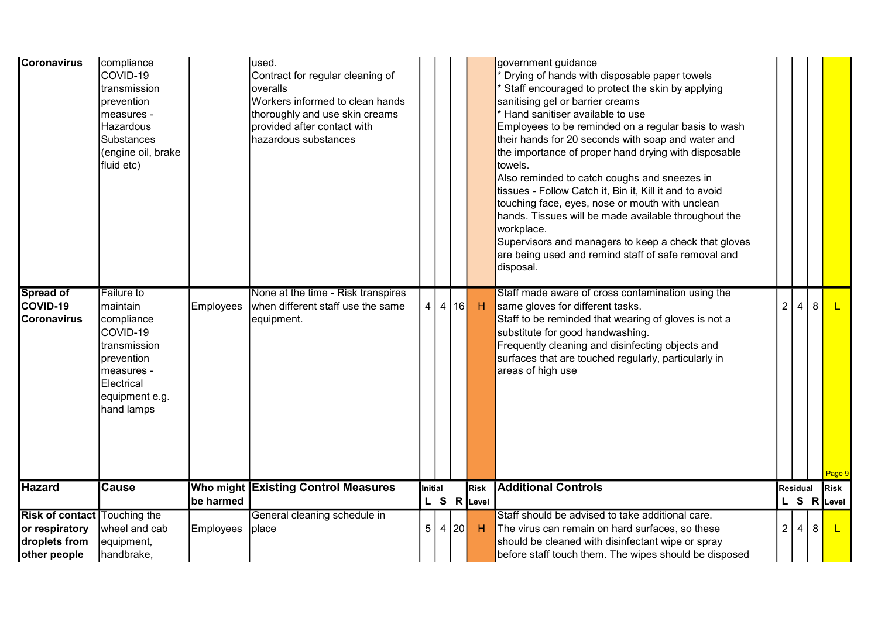| <b>Coronavirus</b>                  | compliance<br>COVID-19<br>transmission<br>prevention<br>measures -<br>Hazardous<br><b>Substances</b><br>(engine oil, brake<br>fluid etc) |           | lused.<br>Contract for regular cleaning of<br>overalls<br>Workers informed to clean hands<br>thoroughly and use skin creams<br>provided after contact with<br>hazardous substances |                |      |             | government guidance<br>Drying of hands with disposable paper towels<br>Staff encouraged to protect the skin by applying<br>sanitising gel or barrier creams<br>Hand sanitiser available to use<br>Employees to be reminded on a regular basis to wash<br>their hands for 20 seconds with soap and water and<br>the importance of proper hand drying with disposable<br>towels.<br>Also reminded to catch coughs and sneezes in<br>tissues - Follow Catch it, Bin it, Kill it and to avoid<br>touching face, eyes, nose or mouth with unclean<br>hands. Tissues will be made available throughout the<br>workplace.<br>Supervisors and managers to keep a check that gloves<br>are being used and remind staff of safe removal and<br>disposal. |                |                |   |             |
|-------------------------------------|------------------------------------------------------------------------------------------------------------------------------------------|-----------|------------------------------------------------------------------------------------------------------------------------------------------------------------------------------------|----------------|------|-------------|------------------------------------------------------------------------------------------------------------------------------------------------------------------------------------------------------------------------------------------------------------------------------------------------------------------------------------------------------------------------------------------------------------------------------------------------------------------------------------------------------------------------------------------------------------------------------------------------------------------------------------------------------------------------------------------------------------------------------------------------|----------------|----------------|---|-------------|
| <b>Spread of</b><br>COVID-19        | Failure to<br>maintain                                                                                                                   | Employees | None at the time - Risk transpires<br>when different staff use the same                                                                                                            | 4              | 4 16 | H           | Staff made aware of cross contamination using the<br>same gloves for different tasks.                                                                                                                                                                                                                                                                                                                                                                                                                                                                                                                                                                                                                                                          | $\overline{2}$ | 4              | 8 |             |
| <b>Coronavirus</b>                  | compliance<br>COVID-19<br>transmission<br>prevention<br>measures -<br>Electrical<br>equipment e.g.<br>hand lamps                         |           | equipment.                                                                                                                                                                         |                |      |             | Staff to be reminded that wearing of gloves is not a<br>substitute for good handwashing.<br>Frequently cleaning and disinfecting objects and<br>surfaces that are touched regularly, particularly in<br>areas of high use                                                                                                                                                                                                                                                                                                                                                                                                                                                                                                                      |                |                |   | Page 9      |
| <b>Hazard</b>                       | <b>Cause</b>                                                                                                                             |           | Who might Existing Control Measures                                                                                                                                                | Initial        |      | Risk        | <b>Additional Controls</b>                                                                                                                                                                                                                                                                                                                                                                                                                                                                                                                                                                                                                                                                                                                     |                | Residual       |   | <b>Risk</b> |
|                                     |                                                                                                                                          | be harmed |                                                                                                                                                                                    |                |      | L S R Level |                                                                                                                                                                                                                                                                                                                                                                                                                                                                                                                                                                                                                                                                                                                                                |                |                |   | L S R Level |
| <b>Risk of contact Touching the</b> |                                                                                                                                          |           | General cleaning schedule in                                                                                                                                                       |                |      |             | Staff should be advised to take additional care.                                                                                                                                                                                                                                                                                                                                                                                                                                                                                                                                                                                                                                                                                               |                |                |   |             |
| or respiratory                      | wheel and cab                                                                                                                            | Employees | place                                                                                                                                                                              | 5 <sup>1</sup> | 4 20 | H           | The virus can remain on hard surfaces, so these                                                                                                                                                                                                                                                                                                                                                                                                                                                                                                                                                                                                                                                                                                | 2 <sup>1</sup> | $\overline{4}$ | 8 |             |
| droplets from                       | equipment,                                                                                                                               |           |                                                                                                                                                                                    |                |      |             | should be cleaned with disinfectant wipe or spray                                                                                                                                                                                                                                                                                                                                                                                                                                                                                                                                                                                                                                                                                              |                |                |   |             |
| other people                        | handbrake,                                                                                                                               |           |                                                                                                                                                                                    |                |      |             | before staff touch them. The wipes should be disposed                                                                                                                                                                                                                                                                                                                                                                                                                                                                                                                                                                                                                                                                                          |                |                |   |             |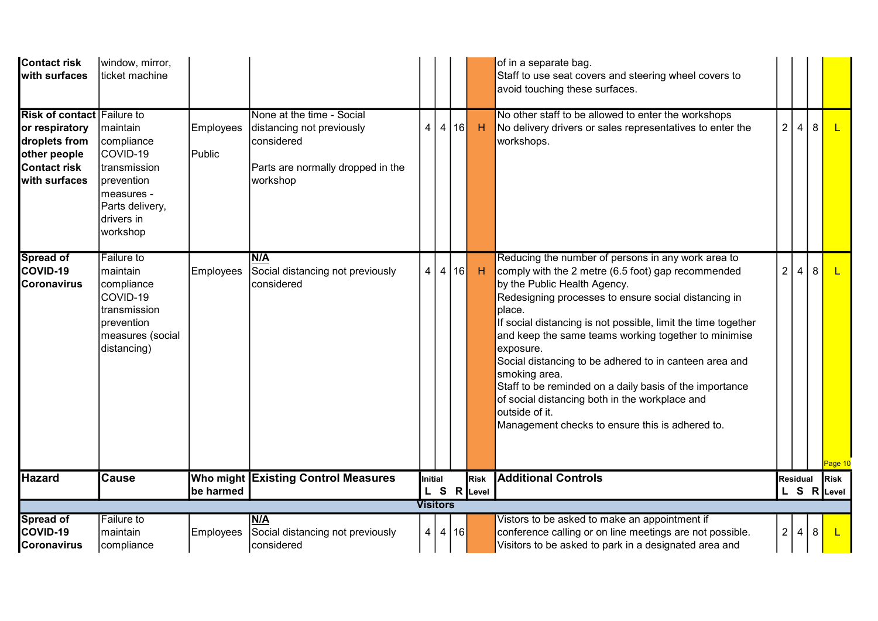| <b>Contact risk</b><br>with surfaces                                                                                         | window, mirror,<br>ticket machine                                                                                           |                     |                                                                                                                       |                 |                |    |                     | of in a separate bag.<br>Staff to use seat covers and steering wheel covers to<br>avoid touching these surfaces.                                                                                                                                                                                                                                                                                                                                                                                                                                                                                              |                 |                |   |                            |
|------------------------------------------------------------------------------------------------------------------------------|-----------------------------------------------------------------------------------------------------------------------------|---------------------|-----------------------------------------------------------------------------------------------------------------------|-----------------|----------------|----|---------------------|---------------------------------------------------------------------------------------------------------------------------------------------------------------------------------------------------------------------------------------------------------------------------------------------------------------------------------------------------------------------------------------------------------------------------------------------------------------------------------------------------------------------------------------------------------------------------------------------------------------|-----------------|----------------|---|----------------------------|
| <b>Risk of contact Failure to</b><br>or respiratory<br>droplets from<br>other people<br><b>Contact risk</b><br>with surfaces | maintain<br>compliance<br>COVID-19<br>transmission<br>prevention<br>measures -<br>Parts delivery,<br>drivers in<br>workshop | Employees<br>Public | None at the time - Social<br>distancing not previously<br>considered<br>Parts are normally dropped in the<br>workshop | $\overline{4}$  | $\overline{4}$ | 16 | H                   | No other staff to be allowed to enter the workshops<br>No delivery drivers or sales representatives to enter the<br>workshops.                                                                                                                                                                                                                                                                                                                                                                                                                                                                                | 2 <sup>1</sup>  | $\overline{4}$ | 8 | L.                         |
| Spread of<br>COVID-19<br><b>Coronavirus</b>                                                                                  | Failure to<br>maintain<br>compliance<br>COVID-19<br>transmission<br>prevention<br>measures (social<br>distancing)           | <b>Employees</b>    | N/A<br>Social distancing not previously<br>considered                                                                 | 4 <sup>1</sup>  | $\overline{4}$ | 16 | <b>H</b>            | Reducing the number of persons in any work area to<br>comply with the 2 metre (6.5 foot) gap recommended<br>by the Public Health Agency.<br>Redesigning processes to ensure social distancing in<br>place.<br>If social distancing is not possible, limit the time together<br>and keep the same teams working together to minimise<br>exposure.<br>Social distancing to be adhered to in canteen area and<br>smoking area.<br>Staff to be reminded on a daily basis of the importance<br>of social distancing both in the workplace and<br>outside of it.<br>Management checks to ensure this is adhered to. | $\overline{2}$  | 4              | 8 | <mark>Page 10</mark>       |
| <b>Hazard</b>                                                                                                                | <b>Cause</b>                                                                                                                | be harmed           | Who might Existing Control Measures                                                                                   | Initial         |                |    | Risk<br>L S R Level | <b>Additional Controls</b>                                                                                                                                                                                                                                                                                                                                                                                                                                                                                                                                                                                    | <b>Residual</b> |                |   | <b>Risk</b><br>L S R Level |
|                                                                                                                              |                                                                                                                             |                     |                                                                                                                       | <b>Visitors</b> |                |    |                     |                                                                                                                                                                                                                                                                                                                                                                                                                                                                                                                                                                                                               |                 |                |   |                            |
| <b>Spread of</b><br>COVID-19<br><b>Coronavirus</b>                                                                           | <b>Failure</b> to<br>maintain<br>compliance                                                                                 | Employees           | N/A<br>Social distancing not previously<br>considered                                                                 | 4               | 4 16           |    |                     | Vistors to be asked to make an appointment if<br>conference calling or on line meetings are not possible.<br>Visitors to be asked to park in a designated area and                                                                                                                                                                                                                                                                                                                                                                                                                                            | 2               | $\overline{4}$ | 8 |                            |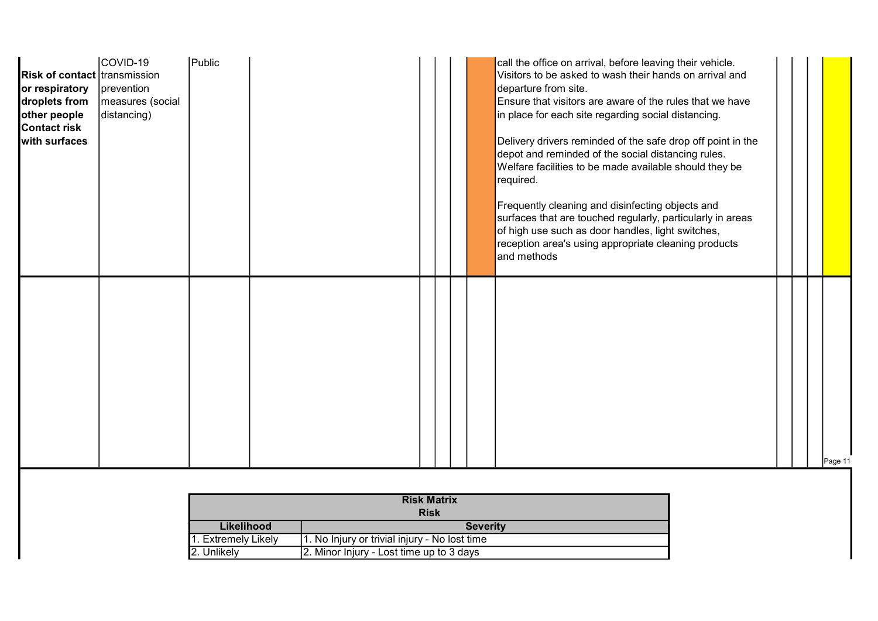| <b>Risk of contact transmission</b><br>or respiratory<br>droplets from<br>other people<br>Contact risk<br>with surfaces | COVID-19<br>prevention<br>measures (social<br>distancing) | Public |  |  | call the office on arrival, before leaving their vehicle.<br>Visitors to be asked to wash their hands on arrival and<br>departure from site.<br>Ensure that visitors are aware of the rules that we have<br>in place for each site regarding social distancing.<br>Delivery drivers reminded of the safe drop off point in the<br>depot and reminded of the social distancing rules.<br>Welfare facilities to be made available should they be<br>required.<br>Frequently cleaning and disinfecting objects and<br>surfaces that are touched regularly, particularly in areas<br>of high use such as door handles, light switches,<br>reception area's using appropriate cleaning products<br>and methods |  |         |
|-------------------------------------------------------------------------------------------------------------------------|-----------------------------------------------------------|--------|--|--|-----------------------------------------------------------------------------------------------------------------------------------------------------------------------------------------------------------------------------------------------------------------------------------------------------------------------------------------------------------------------------------------------------------------------------------------------------------------------------------------------------------------------------------------------------------------------------------------------------------------------------------------------------------------------------------------------------------|--|---------|
|                                                                                                                         |                                                           |        |  |  |                                                                                                                                                                                                                                                                                                                                                                                                                                                                                                                                                                                                                                                                                                           |  | Page 11 |

|                                                         | <b>Risk Matrix</b>                            |  |  |  |  |  |  |  |  |  |
|---------------------------------------------------------|-----------------------------------------------|--|--|--|--|--|--|--|--|--|
|                                                         | <b>Risk</b>                                   |  |  |  |  |  |  |  |  |  |
| Likelihood                                              | <b>Severity</b>                               |  |  |  |  |  |  |  |  |  |
| 1. Extremely Likely                                     | 1. No Injury or trivial injury - No lost time |  |  |  |  |  |  |  |  |  |
| 2. Unlikely<br>2. Minor Injury - Lost time up to 3 days |                                               |  |  |  |  |  |  |  |  |  |